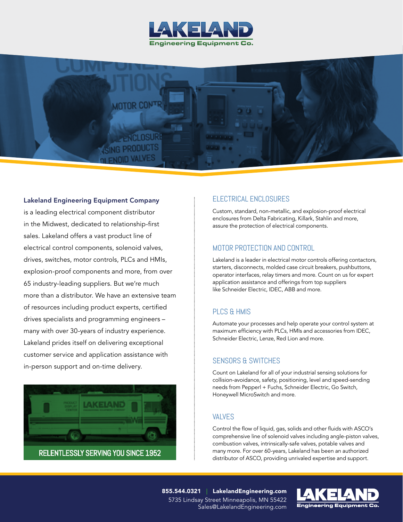



#### Lakeland Engineering Equipment Company

is a leading electrical component distributor in the Midwest, dedicated to relationship-first sales. Lakeland offers a vast product line of electrical control components, solenoid valves, drives, switches, motor controls, PLCs and HMIs, explosion-proof components and more, from over 65 industry-leading suppliers. But we're much more than a distributor. We have an extensive team of resources including product experts, certified drives specialists and programming engineers – many with over 30-years of industry experience. Lakeland prides itself on delivering exceptional customer service and application assistance with in-person support and on-time delivery.



#### ELECTRICAL ENCLOSURES

Custom, standard, non-metallic, and explosion-proof electrical enclosures from Delta Fabricating, Killark, Stahlin and more, assure the protection of electrical components.

### MOTOR PROTECTION AND CONTROL

Lakeland is a leader in electrical motor controls offering contactors, starters, disconnects, molded case circuit breakers, pushbuttons, operator interfaces, relay timers and more. Count on us for expert application assistance and offerings from top suppliers like Schneider Electric, IDEC, ABB and more.

#### PLCS & HMIS

Automate your processes and help operate your control system at maximum efficiency with PLCs, HMIs and accessories from IDEC, Schneider Electric, Lenze, Red Lion and more.

### SENSORS & SWITCHES

Count on Lakeland for all of your industrial sensing solutions for collision-avoidance, safety, positioning, level and speed-sending needs from Pepperl + Fuchs, Schneider Electric, Go Switch, Honeywell MicroSwitch and more.

#### VALVES

Control the flow of liquid, gas, solids and other fluids with ASCO's comprehensive line of solenoid valves including angle-piston valves, combustion valves, intrinsically-safe valves, potable valves and many more. For over 60-years, Lakeland has been an authorized distributor of ASCO, providing unrivaled expertise and support.

855.544.0321 | LakelandEngineering.com 5735 Lindsay Street Minneapolis, MN 55422 Sales@LakelandEngineering.com